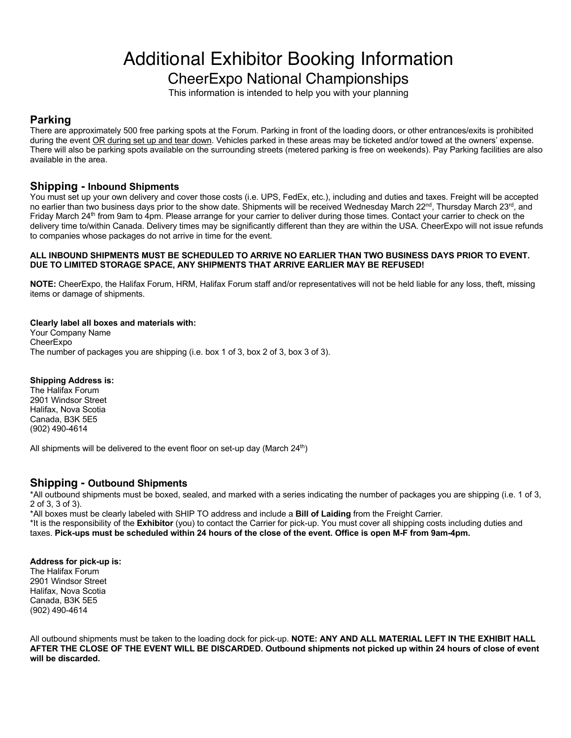# Additional Exhibitor Booking Information

CheerExpo National Championships

This information is intended to help you with your planning

## **Parking**

There are approximately 500 free parking spots at the Forum. Parking in front of the loading doors, or other entrances/exits is prohibited during the event OR during set up and tear down. Vehicles parked in these areas may be ticketed and/or towed at the owners' expense. There will also be parking spots available on the surrounding streets (metered parking is free on weekends). Pay Parking facilities are also available in the area.

## **Shipping - Inbound Shipments**

You must set up your own delivery and cover those costs (i.e. UPS, FedEx, etc.), including and duties and taxes. Freight will be accepted no earlier than two business days prior to the show date. Shipments will be received Wednesday March 22<sup>nd</sup>, Thursday March 23<sup>rd</sup>, and Friday March 24<sup>th</sup> from 9am to 4pm. Please arrange for your carrier to deliver during those times. Contact your carrier to check on the delivery time to/within Canada. Delivery times may be significantly different than they are within the USA. CheerExpo will not issue refunds to companies whose packages do not arrive in time for the event.

### **ALL INBOUND SHIPMENTS MUST BE SCHEDULED TO ARRIVE NO EARLIER THAN TWO BUSINESS DAYS PRIOR TO EVENT. DUE TO LIMITED STORAGE SPACE, ANY SHIPMENTS THAT ARRIVE EARLIER MAY BE REFUSED!**

**NOTE:** CheerExpo, the Halifax Forum, HRM, Halifax Forum staff and/or representatives will not be held liable for any loss, theft, missing items or damage of shipments.

### **Clearly label all boxes and materials with:**

Your Company Name **CheerExpo** The number of packages you are shipping (i.e. box 1 of 3, box 2 of 3, box 3 of 3).

### **Shipping Address is:**

The Halifax Forum 2901 Windsor Street Halifax, Nova Scotia Canada, B3K 5E5 (902) 490-4614

All shipments will be delivered to the event floor on set-up day (March  $24<sup>th</sup>$ )

## **Shipping - Outbound Shipments**

\*All outbound shipments must be boxed, sealed, and marked with a series indicating the number of packages you are shipping (i.e. 1 of 3, 2 of 3, 3 of 3).

\*All boxes must be clearly labeled with SHIP TO address and include a **Bill of Laiding** from the Freight Carrier.

\*It is the responsibility of the **Exhibitor** (you) to contact the Carrier for pick-up. You must cover all shipping costs including duties and taxes. **Pick-ups must be scheduled within 24 hours of the close of the event. Office is open M-F from 9am-4pm.** 

**Address for pick-up is:** The Halifax Forum 2901 Windsor Street Halifax, Nova Scotia Canada, B3K 5E5 (902) 490-4614

All outbound shipments must be taken to the loading dock for pick-up. **NOTE: ANY AND ALL MATERIAL LEFT IN THE EXHIBIT HALL AFTER THE CLOSE OF THE EVENT WILL BE DISCARDED. Outbound shipments not picked up within 24 hours of close of event will be discarded.**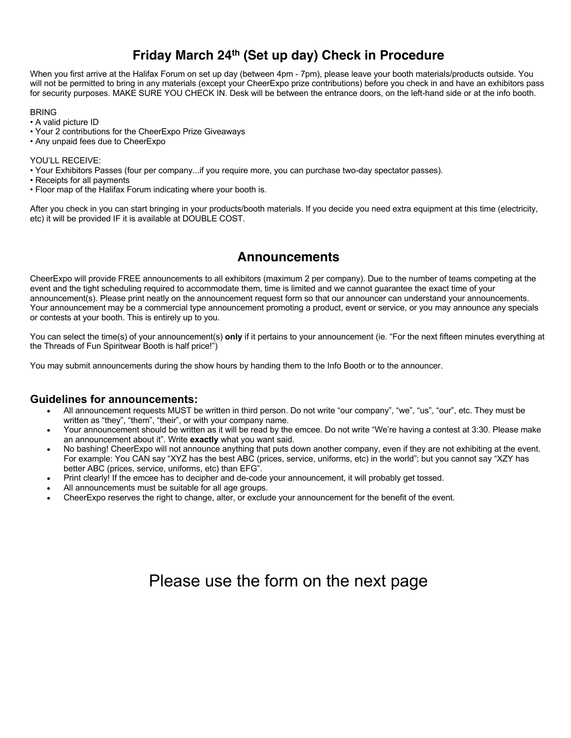# **Friday March 24th (Set up day) Check in Procedure**

When you first arrive at the Halifax Forum on set up day (between 4pm - 7pm), please leave your booth materials/products outside. You will not be permitted to bring in any materials (except your CheerExpo prize contributions) before you check in and have an exhibitors pass for security purposes. MAKE SURE YOU CHECK IN. Desk will be between the entrance doors, on the left-hand side or at the info booth.

### **BRING**

- A valid picture ID
- Your 2 contributions for the CheerExpo Prize Giveaways
- Any unpaid fees due to CheerExpo

#### YOU'LL RECEIVE:

- Your Exhibitors Passes (four per company...if you require more, you can purchase two-day spectator passes).
- Receipts for all payments
- Floor map of the Halifax Forum indicating where your booth is.

After you check in you can start bringing in your products/booth materials. If you decide you need extra equipment at this time (electricity, etc) it will be provided IF it is available at DOUBLE COST.

# **Announcements**

CheerExpo will provide FREE announcements to all exhibitors (maximum 2 per company). Due to the number of teams competing at the event and the tight scheduling required to accommodate them, time is limited and we cannot guarantee the exact time of your announcement(s). Please print neatly on the announcement request form so that our announcer can understand your announcements. Your announcement may be a commercial type announcement promoting a product, event or service, or you may announce any specials or contests at your booth. This is entirely up to you.

You can select the time(s) of your announcement(s) **only** if it pertains to your announcement (ie. "For the next fifteen minutes everything at the Threads of Fun Spiritwear Booth is half price!")

You may submit announcements during the show hours by handing them to the Info Booth or to the announcer.

### **Guidelines for announcements:**

- All announcement requests MUST be written in third person. Do not write "our company", "we", "us", "our", etc. They must be written as "they", "them", "their", or with your company name.
- Your announcement should be written as it will be read by the emcee. Do not write "We're having a contest at 3:30. Please make an announcement about it". Write **exactly** what you want said.
- No bashing! CheerExpo will not announce anything that puts down another company, even if they are not exhibiting at the event. For example: You CAN say "XYZ has the best ABC (prices, service, uniforms, etc) in the world"; but you cannot say "XZY has better ABC (prices, service, uniforms, etc) than EFG".
- Print clearly! If the emcee has to decipher and de-code your announcement, it will probably get tossed.
- All announcements must be suitable for all age groups.
- CheerExpo reserves the right to change, alter, or exclude your announcement for the benefit of the event.

# Please use the form on the next page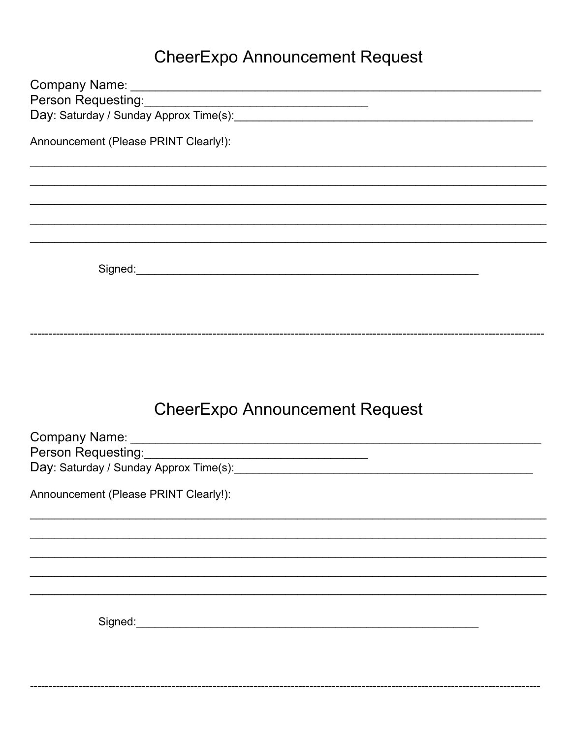# **CheerExpo Announcement Request**

| Person Requesting: Management of the Resonance of the Resonance of the Resonance of the Resonance of the Resonance of the Resonance of the Resonance of the Resonance of the Resonance of the Resonance of the Resonance of th |
|--------------------------------------------------------------------------------------------------------------------------------------------------------------------------------------------------------------------------------|
|                                                                                                                                                                                                                                |
| Announcement (Please PRINT Clearly!):                                                                                                                                                                                          |
|                                                                                                                                                                                                                                |
|                                                                                                                                                                                                                                |
| ,我们也不能在这里的人,我们也不能在这里的人,我们也不能在这里的人,我们也不能不能在这里的人,我们也不能不能不能不能。""我们,我们也不能不能不能不能不能不能不                                                                                                                                               |
|                                                                                                                                                                                                                                |
|                                                                                                                                                                                                                                |
|                                                                                                                                                                                                                                |
|                                                                                                                                                                                                                                |
|                                                                                                                                                                                                                                |
|                                                                                                                                                                                                                                |
|                                                                                                                                                                                                                                |
|                                                                                                                                                                                                                                |
|                                                                                                                                                                                                                                |
|                                                                                                                                                                                                                                |
| <b>CheerExpo Announcement Request</b>                                                                                                                                                                                          |
|                                                                                                                                                                                                                                |
|                                                                                                                                                                                                                                |
|                                                                                                                                                                                                                                |
| Announcement (Please PRINT Clearly!):                                                                                                                                                                                          |
|                                                                                                                                                                                                                                |
|                                                                                                                                                                                                                                |
|                                                                                                                                                                                                                                |
|                                                                                                                                                                                                                                |
|                                                                                                                                                                                                                                |
|                                                                                                                                                                                                                                |
| Signed: the contract of the contract of the contract of the contract of the contract of the contract of the contract of the contract of the contract of the contract of the contract of the contract of the contract of the co |
|                                                                                                                                                                                                                                |
|                                                                                                                                                                                                                                |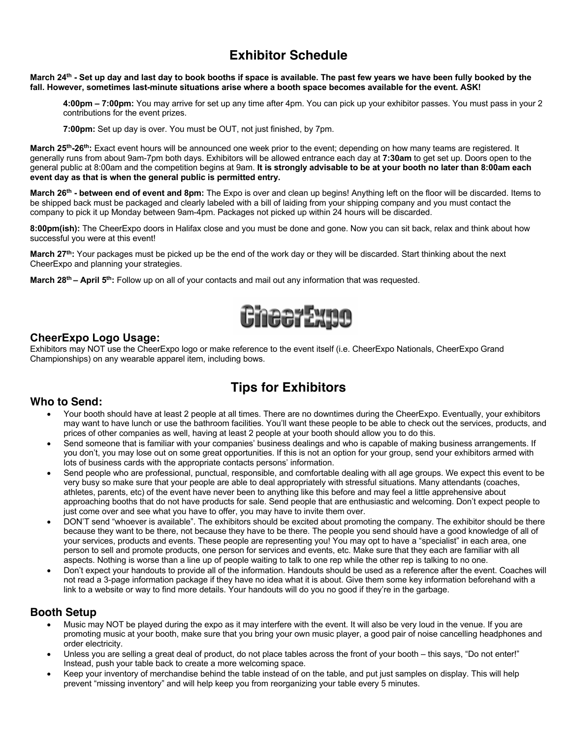# **Exhibitor Schedule**

#### **March 24th - Set up day and last day to book booths if space is available. The past few years we have been fully booked by the fall. However, sometimes last-minute situations arise where a booth space becomes available for the event. ASK!**

**4:00pm – 7:00pm:** You may arrive for set up any time after 4pm. You can pick up your exhibitor passes. You must pass in your 2 contributions for the event prizes.

**7:00pm:** Set up day is over. You must be OUT, not just finished, by 7pm.

**March 25th-26th:** Exact event hours will be announced one week prior to the event; depending on how many teams are registered. It generally runs from about 9am-7pm both days. Exhibitors will be allowed entrance each day at **7:30am** to get set up. Doors open to the general public at 8:00am and the competition begins at 9am. **It is strongly advisable to be at your booth no later than 8:00am each event day as that is when the general public is permitted entry.** 

**March 26th - between end of event and 8pm:** The Expo is over and clean up begins! Anything left on the floor will be discarded. Items to be shipped back must be packaged and clearly labeled with a bill of laiding from your shipping company and you must contact the company to pick it up Monday between 9am-4pm. Packages not picked up within 24 hours will be discarded.

**8:00pm(ish):** The CheerExpo doors in Halifax close and you must be done and gone. Now you can sit back, relax and think about how successful you were at this event!

**March 27th:** Your packages must be picked up be the end of the work day or they will be discarded. Start thinking about the next CheerExpo and planning your strategies.

**March 28th – April 5th:** Follow up on all of your contacts and mail out any information that was requested.



### **CheerExpo Logo Usage:**

Exhibitors may NOT use the CheerExpo logo or make reference to the event itself (i.e. CheerExpo Nationals, CheerExpo Grand Championships) on any wearable apparel item, including bows.

# **Tips for Exhibitors**

## **Who to Send:**

- Your booth should have at least 2 people at all times. There are no downtimes during the CheerExpo. Eventually, your exhibitors may want to have lunch or use the bathroom facilities. You'll want these people to be able to check out the services, products, and prices of other companies as well, having at least 2 people at your booth should allow you to do this.
- Send someone that is familiar with your companies' business dealings and who is capable of making business arrangements. If you don't, you may lose out on some great opportunities. If this is not an option for your group, send your exhibitors armed with lots of business cards with the appropriate contacts persons' information.
- Send people who are professional, punctual, responsible, and comfortable dealing with all age groups. We expect this event to be very busy so make sure that your people are able to deal appropriately with stressful situations. Many attendants (coaches, athletes, parents, etc) of the event have never been to anything like this before and may feel a little apprehensive about approaching booths that do not have products for sale. Send people that are enthusiastic and welcoming. Don't expect people to just come over and see what you have to offer, you may have to invite them over.
- DON'T send "whoever is available". The exhibitors should be excited about promoting the company. The exhibitor should be there because they want to be there, not because they have to be there. The people you send should have a good knowledge of all of your services, products and events. These people are representing you! You may opt to have a "specialist" in each area, one person to sell and promote products, one person for services and events, etc. Make sure that they each are familiar with all aspects. Nothing is worse than a line up of people waiting to talk to one rep while the other rep is talking to no one.
- Don't expect your handouts to provide all of the information. Handouts should be used as a reference after the event. Coaches will not read a 3-page information package if they have no idea what it is about. Give them some key information beforehand with a link to a website or way to find more details. Your handouts will do you no good if they're in the garbage.

### **Booth Setup**

- Music may NOT be played during the expo as it may interfere with the event. It will also be very loud in the venue. If you are promoting music at your booth, make sure that you bring your own music player, a good pair of noise cancelling headphones and order electricity.
- Unless you are selling a great deal of product, do not place tables across the front of your booth this says, "Do not enter!" Instead, push your table back to create a more welcoming space.
- Keep your inventory of merchandise behind the table instead of on the table, and put just samples on display. This will help prevent "missing inventory" and will help keep you from reorganizing your table every 5 minutes.